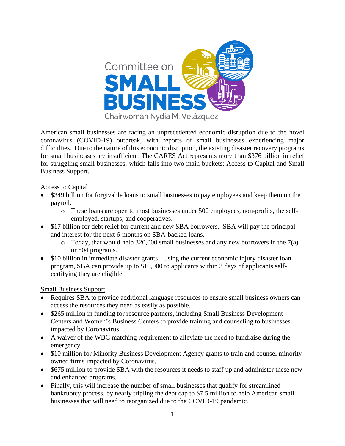

American small businesses are facing an unprecedented economic disruption due to the novel coronavirus (COVID-19) outbreak, with reports of small businesses experiencing major difficulties. Due to the nature of this economic disruption, the existing disaster recovery programs for small businesses are insufficient. The CARES Act represents more than \$376 billion in relief for struggling small businesses, which falls into two main buckets: Access to Capital and Small Business Support.

### Access to Capital

- \$349 billion for forgivable loans to small businesses to pay employees and keep them on the payroll.
	- o These loans are open to most businesses under 500 employees, non-profits, the selfemployed, startups, and cooperatives.
- \$17 billion for debt relief for current and new SBA borrowers. SBA will pay the principal and interest for the next 6-months on SBA-backed loans.
	- $\circ$  Today, that would help 320,000 small businesses and any new borrowers in the 7(a) or 504 programs.
- \$10 billion in immediate disaster grants. Using the current economic injury disaster loan program, SBA can provide up to \$10,000 to applicants within 3 days of applicants selfcertifying they are eligible.

## Small Business Support

- Requires SBA to provide additional language resources to ensure small business owners can access the resources they need as easily as possible.
- \$265 million in funding for resource partners, including Small Business Development Centers and Women's Business Centers to provide training and counseling to businesses impacted by Coronavirus.
- A waiver of the WBC matching requirement to alleviate the need to fundraise during the emergency.
- \$10 million for Minority Business Development Agency grants to train and counsel minorityowned firms impacted by Coronavirus.
- \$675 million to provide SBA with the resources it needs to staff up and administer these new and enhanced programs.
- Finally, this will increase the number of small businesses that qualify for streamlined bankruptcy process, by nearly tripling the debt cap to \$7.5 million to help American small businesses that will need to reorganized due to the COVID-19 pandemic.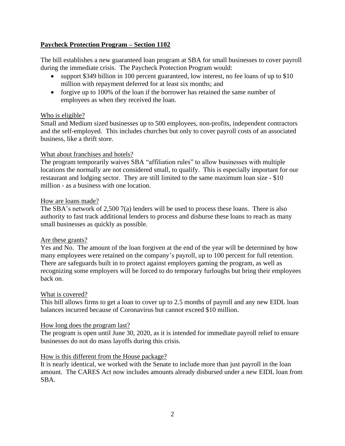### **Paycheck Protection Program – Section 1102**

The bill establishes a new guaranteed loan program at SBA for small businesses to cover payroll during the immediate crisis. The Paycheck Protection Program would:

- support \$349 billion in 100 percent guaranteed, low interest, no fee loans of up to \$10 million with repayment deferred for at least six months; and
- forgive up to 100% of the loan if the borrower has retained the same number of employees as when they received the loan.

### Who is eligible?

Small and Medium sized businesses up to 500 employees, non-profits, independent contractors and the self-employed. This includes churches but only to cover payroll costs of an associated business, like a thrift store.

#### What about franchises and hotels?

The program temporarily waives SBA "affiliation rules" to allow businesses with multiple locations the normally are not considered small, to qualify. This is especially important for our restaurant and lodging sector. They are still limited to the same maximum loan size - \$10 million - as a business with one location.

#### How are loans made?

The SBA's network of 2,500 7(a) lenders will be used to process these loans. There is also authority to fast track additional lenders to process and disburse these loans to reach as many small businesses as quickly as possible.

### Are these grants?

Yes and No. The amount of the loan forgiven at the end of the year will be determined by how many employees were retained on the company's payroll, up to 100 percent for full retention. There are safeguards built in to protect against employers gaming the program, as well as recognizing some employers will be forced to do temporary furloughs but bring their employees back on.

#### What is covered?

This bill allows firms to get a loan to cover up to 2.5 months of payroll and any new EIDL loan balances incurred because of Coronavirus but cannot exceed \$10 million.

#### How long does the program last?

The program is open until June 30, 2020, as it is intended for immediate payroll relief to ensure businesses do not do mass layoffs during this crisis.

### How is this different from the House package?

It is nearly identical, we worked with the Senate to include more than just payroll in the loan amount. The CARES Act now includes amounts already disbursed under a new EIDL loan from SBA.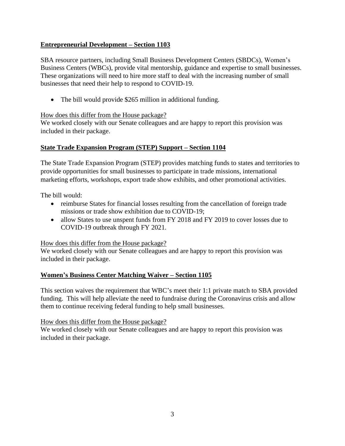# **Entrepreneurial Development – Section 1103**

SBA resource partners, including Small Business Development Centers (SBDCs), Women's Business Centers (WBCs), provide vital mentorship, guidance and expertise to small businesses. These organizations will need to hire more staff to deal with the increasing number of small businesses that need their help to respond to COVID-19.

• The bill would provide \$265 million in additional funding.

## How does this differ from the House package?

We worked closely with our Senate colleagues and are happy to report this provision was included in their package.

# **State Trade Expansion Program (STEP) Support – Section 1104**

The State Trade Expansion Program (STEP) provides matching funds to states and territories to provide opportunities for small businesses to participate in trade missions, international marketing efforts, workshops, export trade show exhibits, and other promotional activities.

The bill would:

- reimburse States for financial losses resulting from the cancellation of foreign trade missions or trade show exhibition due to COVID-19;
- allow States to use unspent funds from FY 2018 and FY 2019 to cover losses due to COVID-19 outbreak through FY 2021.

How does this differ from the House package?

We worked closely with our Senate colleagues and are happy to report this provision was included in their package.

# **Women's Business Center Matching Waiver – Section 1105**

This section waives the requirement that WBC's meet their 1:1 private match to SBA provided funding. This will help alleviate the need to fundraise during the Coronavirus crisis and allow them to continue receiving federal funding to help small businesses.

## How does this differ from the House package?

We worked closely with our Senate colleagues and are happy to report this provision was included in their package.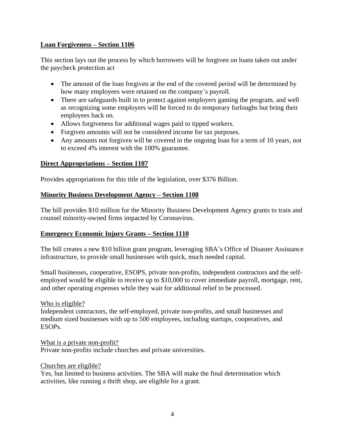## **Loan Forgiveness – Section 1106**

This section lays out the process by which borrowers will be forgiven on loans taken out under the paycheck protection act

- The amount of the loan forgiven at the end of the covered period will be determined by how many employees were retained on the company's payroll.
- There are safeguards built in to protect against employers gaming the program, and well as recognizing some employers will be forced to do temporary furloughs but bring their employees back on.
- Allows forgiveness for additional wages paid to tipped workers.
- Forgiven amounts will not be considered income for tax purposes.
- Any amounts not forgiven will be covered in the ongoing loan for a term of 10 years, not to exceed 4% interest with the 100% guarantee.

# **Direct Appropriations – Section 1107**

Provides appropriations for this title of the legislation, over \$376 Billion.

# **Minority Business Development Agency – Section 1108**

The bill provides \$10 million for the Minority Business Development Agency grants to train and counsel minority-owned firms impacted by Coronavirus.

# **Emergency Economic Injury Grants – Section 1110**

The bill creates a new \$10 billion grant program, leveraging SBA's Office of Disaster Assistance infrastructure, to provide small businesses with quick, much needed capital.

Small businesses, cooperative, ESOPS, private non-profits, independent contractors and the selfemployed would be eligible to receive up to \$10,000 to cover immediate payroll, mortgage, rent, and other operating expenses while they wait for additional relief to be processed.

Who is eligible?

Independent contractors, the self-employed, private non-profits, and small businesses and medium sized businesses with up to 500 employees, including startups, cooperatives, and ESOPs.

What is a private non-profit? Private non-profits include churches and private universities.

Churches are eligible?

Yes, but limited to business activities. The SBA will make the final determination which activities, like running a thrift shop, are eligible for a grant.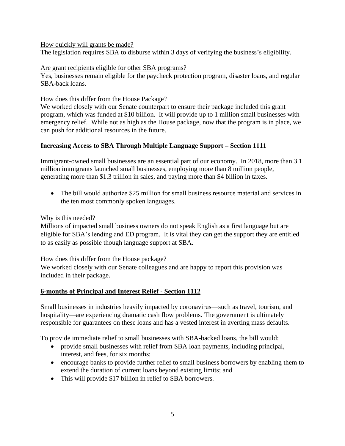### How quickly will grants be made?

The legislation requires SBA to disburse within 3 days of verifying the business's eligibility.

### Are grant recipients eligible for other SBA programs?

Yes, businesses remain eligible for the paycheck protection program, disaster loans, and regular SBA-back loans.

## How does this differ from the House Package?

We worked closely with our Senate counterpart to ensure their package included this grant program, which was funded at \$10 billion. It will provide up to 1 million small businesses with emergency relief. While not as high as the House package, now that the program is in place, we can push for additional resources in the future.

# **Increasing Access to SBA Through Multiple Language Support – Section 1111**

Immigrant-owned small businesses are an essential part of our economy. In 2018, more than 3.1 million immigrants launched small businesses, employing more than 8 million people, generating more than \$1.3 trillion in sales, and paying more than \$4 billion in taxes.

• The bill would authorize \$25 million for small business resource material and services in the ten most commonly spoken languages.

## Why is this needed?

Millions of impacted small business owners do not speak English as a first language but are eligible for SBA's lending and ED program. It is vital they can get the support they are entitled to as easily as possible though language support at SBA.

## How does this differ from the House package?

We worked closely with our Senate colleagues and are happy to report this provision was included in their package.

# **6-months of Principal and Interest Relief - Section 1112**

Small businesses in industries heavily impacted by coronavirus—such as travel, tourism, and hospitality—are experiencing dramatic cash flow problems. The government is ultimately responsible for guarantees on these loans and has a vested interest in averting mass defaults.

To provide immediate relief to small businesses with SBA-backed loans, the bill would:

- provide small businesses with relief from SBA loan payments, including principal, interest, and fees, for six months;
- encourage banks to provide further relief to small business borrowers by enabling them to extend the duration of current loans beyond existing limits; and
- This will provide \$17 billion in relief to SBA borrowers.